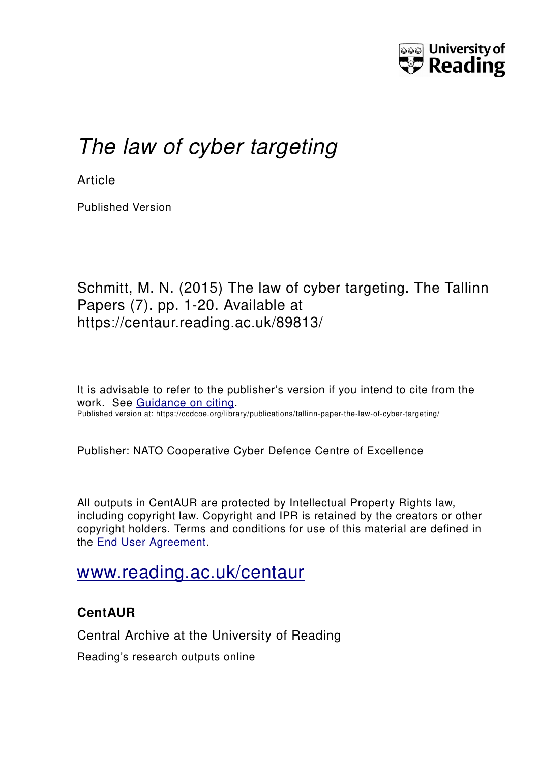

# *The law of cyber targeting*

**Article** 

Published Version

## Schmitt, M. N. (2015) The law of cyber targeting. The Tallinn Papers (7). pp. 1-20. Available at https://centaur.reading.ac.uk/89813/

It is advisable to refer to the publisher's version if you intend to cite from the work. See [Guidance on citing.](http://centaur.reading.ac.uk/71187/10/CentAUR%20citing%20guide.pdf) Published version at: https://ccdcoe.org/library/publications/tallinn-paper-the-law-of-cyber-targeting/

Publisher: NATO Cooperative Cyber Defence Centre of Excellence

All outputs in CentAUR are protected by Intellectual Property Rights law, including copyright law. Copyright and IPR is retained by the creators or other copyright holders. Terms and conditions for use of this material are defined in the [End User Agreement.](http://centaur.reading.ac.uk/licence)

## [www.reading.ac.uk/centaur](http://www.reading.ac.uk/centaur)

## **CentAUR**

Central Archive at the University of Reading

Reading's research outputs online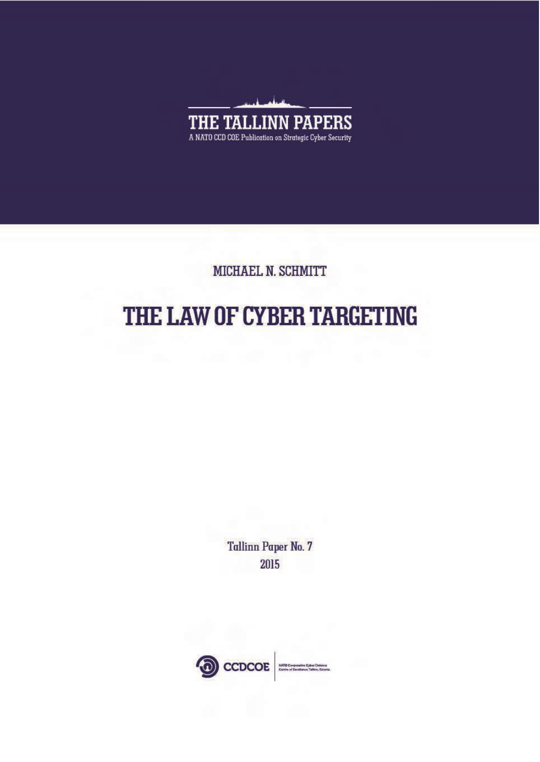

MICHAEL N. SCHMITT

# THE LAW OF CYBER TARGETING

**Tallinn Paper No. 7** 2015

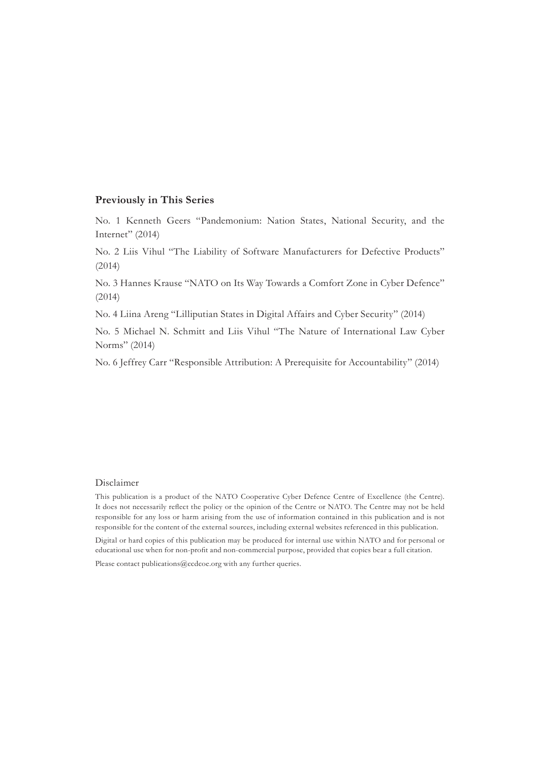#### **Previously in This Series**

No. 1 Kenneth Geers "Pandemonium: Nation States, National Security, and the Internet" (2014)

No. 2 Liis Vihul "The Liability of Software Manufacturers for Defective Products" (2014)

No. 3 Hannes Krause "NATO on Its Way Towards a Comfort Zone in Cyber Defence" (2014)

No. 4 Liina Areng "Lilliputian States in Digital Affairs and Cyber Security" (2014)

No. 5 Michael N. Schmitt and Liis Vihul "The Nature of International Law Cyber Norms" (2014)

No. 6 Jeffrey Carr "Responsible Attribution: A Prerequisite for Accountability" (2014)

#### Disclaimer

This publication is a product of the NATO Cooperative Cyber Defence Centre of Excellence (the Centre). It does not necessarily reflect the policy or the opinion of the Centre or NATO. The Centre may not be held responsible for any loss or harm arising from the use of information contained in this publication and is not responsible for the content of the external sources, including external websites referenced in this publication.

Digital or hard copies of this publication may be produced for internal use within NATO and for personal or educational use when for non-profit and non-commercial purpose, provided that copies bear a full citation.

Please contact publications@ccdcoe.org with any further queries.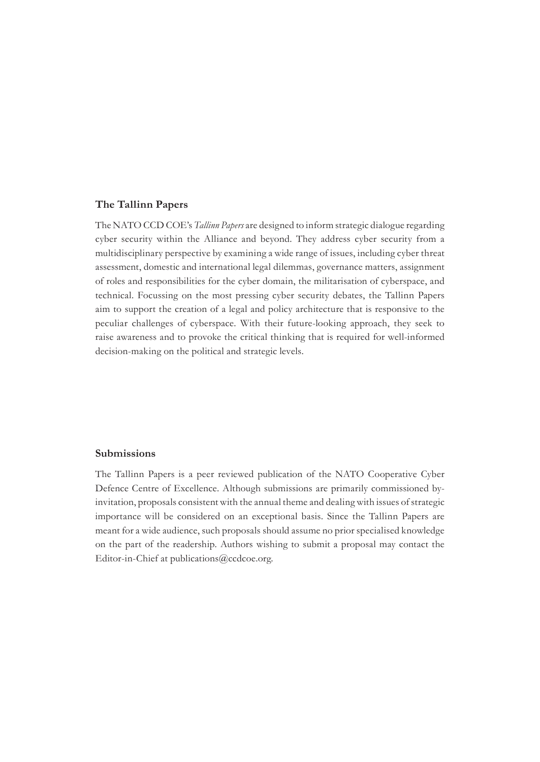#### **The Tallinn Papers**

The NATO CCD COE's *Tallinn Papers* are designed to inform strategic dialogue regarding cyber security within the Alliance and beyond. They address cyber security from a multidisciplinary perspective by examining a wide range of issues, including cyber threat assessment, domestic and international legal dilemmas, governance matters, assignment of roles and responsibilities for the cyber domain, the militarisation of cyberspace, and technical. Focussing on the most pressing cyber security debates, the Tallinn Papers aim to support the creation of a legal and policy architecture that is responsive to the peculiar challenges of cyberspace. With their future-looking approach, they seek to raise awareness and to provoke the critical thinking that is required for well-informed decision-making on the political and strategic levels.

#### **Submissions**

The Tallinn Papers is a peer reviewed publication of the NATO Cooperative Cyber Defence Centre of Excellence. Although submissions are primarily commissioned byinvitation, proposals consistent with the annual theme and dealing with issues of strategic importance will be considered on an exceptional basis. Since the Tallinn Papers are meant for a wide audience, such proposals should assume no prior specialised knowledge on the part of the readership. Authors wishing to submit a proposal may contact the Editor-in-Chief at publications@ccdcoe.org.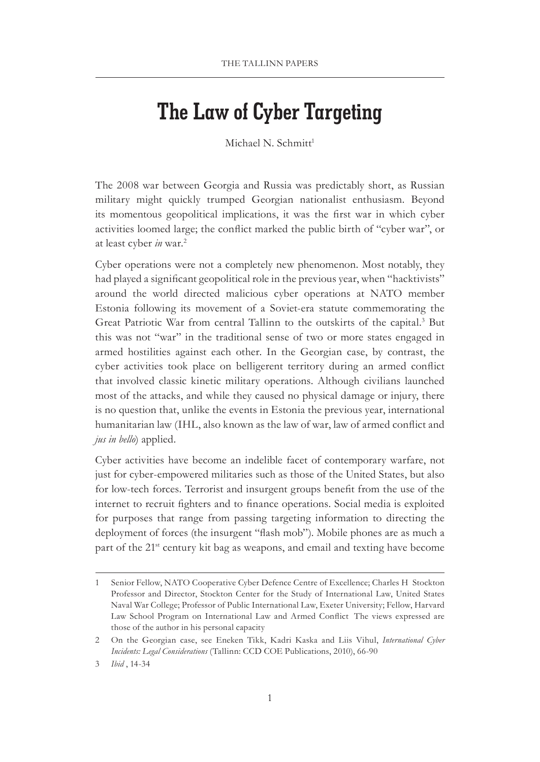## **The Law of Cyber Targeting**

Michael N. Schmitt<sup>1</sup>

The 2008 war between Georgia and Russia was predictably short, as Russian military might quickly trumped Georgian nationalist enthusiasm. Beyond its momentous geopolitical implications, it was the first war in which cyber activities loomed large; the conflict marked the public birth of "cyber war", or at least cyber *in* war.2

Cyber operations were not a completely new phenomenon. Most notably, they had played a significant geopolitical role in the previous year, when "hacktivists" around the world directed malicious cyber operations at NATO member Estonia following its movement of a Soviet-era statute commemorating the Great Patriotic War from central Tallinn to the outskirts of the capital.<sup>3</sup> But this was not "war" in the traditional sense of two or more states engaged in armed hostilities against each other. In the Georgian case, by contrast, the cyber activities took place on belligerent territory during an armed conflict that involved classic kinetic military operations. Although civilians launched most of the attacks, and while they caused no physical damage or injury, there is no question that, unlike the events in Estonia the previous year, international humanitarian law (IHL, also known as the law of war, law of armed conflict and *jus in bello*) applied.

Cyber activities have become an indelible facet of contemporary warfare, not just for cyber-empowered militaries such as those of the United States, but also for low-tech forces. Terrorist and insurgent groups benefit from the use of the internet to recruit fighters and to finance operations. Social media is exploited for purposes that range from passing targeting information to directing the deployment of forces (the insurgent "flash mob"). Mobile phones are as much a part of the 21<sup>st</sup> century kit bag as weapons, and email and texting have become

<sup>1</sup> Senior Fellow, NATO Cooperative Cyber Defence Centre of Excellence; Charles H Stockton Professor and Director, Stockton Center for the Study of International Law, United States Naval War College; Professor of Public International Law, Exeter University; Fellow, Harvard Law School Program on International Law and Armed Conflict The views expressed are those of the author in his personal capacity

<sup>2</sup> On the Georgian case, see Eneken Tikk, Kadri Kaska and Liis Vihul, *International Cyber Incidents: Legal Considerations* (Tallinn: CCD COE Publications, 2010), 66-90

<sup>3</sup> *Ibid* , 14-34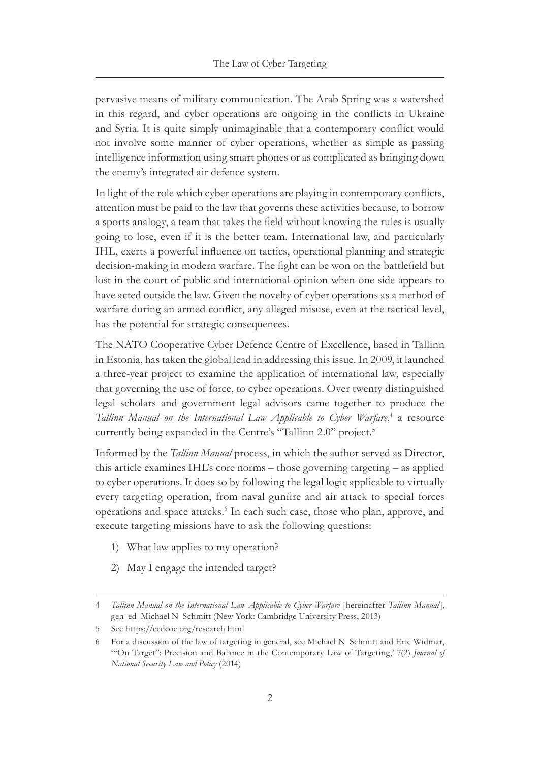pervasive means of military communication. The Arab Spring was a watershed in this regard, and cyber operations are ongoing in the conflicts in Ukraine and Syria. It is quite simply unimaginable that a contemporary conflict would not involve some manner of cyber operations, whether as simple as passing intelligence information using smart phones or as complicated as bringing down the enemy's integrated air defence system.

In light of the role which cyber operations are playing in contemporary conflicts, attention must be paid to the law that governs these activities because, to borrow a sports analogy, a team that takes the field without knowing the rules is usually going to lose, even if it is the better team. International law, and particularly IHL, exerts a powerful influence on tactics, operational planning and strategic decision-making in modern warfare. The fight can be won on the battlefield but lost in the court of public and international opinion when one side appears to have acted outside the law. Given the novelty of cyber operations as a method of warfare during an armed conflict, any alleged misuse, even at the tactical level, has the potential for strategic consequences.

The NATO Cooperative Cyber Defence Centre of Excellence, based in Tallinn in Estonia, has taken the global lead in addressing this issue. In 2009, it launched a three-year project to examine the application of international law, especially that governing the use of force, to cyber operations. Over twenty distinguished legal scholars and government legal advisors came together to produce the Tallinn Manual on the International Law Applicable to Cyber Warfare,<sup>4</sup> a resource currently being expanded in the Centre's "Tallinn 2.0" project.<sup>5</sup>

Informed by the *Tallinn Manual* process, in which the author served as Director, this article examines IHL's core norms – those governing targeting – as applied to cyber operations. It does so by following the legal logic applicable to virtually every targeting operation, from naval gunfire and air attack to special forces operations and space attacks.<sup>6</sup> In each such case, those who plan, approve, and execute targeting missions have to ask the following questions:

- 1) What law applies to my operation?
- 2) May I engage the intended target?

<sup>4</sup> *Tallinn Manual on the International Law Applicable to Cyber Warfare* [hereinafter *Tallinn Manual*], gen ed Michael N Schmitt (New York: Cambridge University Press, 2013)

<sup>5</sup> See https://ccdcoe org/research html

<sup>6</sup> For a discussion of the law of targeting in general, see Michael N Schmitt and Eric Widmar, '"On Target": Precision and Balance in the Contemporary Law of Targeting,' 7(2) *Journal of National Security Law and Policy* (2014)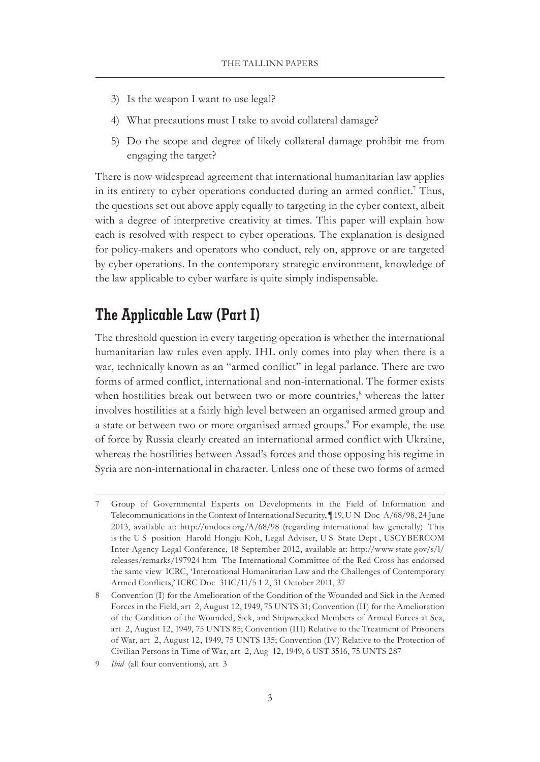- 3) Is the weapon I want to use legal?
- 4) What precautions must I take to avoid collateral damage?
- 5) Do the scope and degree of likely collateral damage prohibit me from engaging the target?

There is now widespread agreement that international humanitarian law applies in its entirety to cyber operations conducted during an armed conflict.<sup>7</sup> Thus, the questions set out above apply equally to targeting in the cyber context, albeit with a degree of interpretive creativity at times. This paper will explain how each is resolved with respect to cyber operations. The explanation is designed for policy-makers and operators who conduct, rely on, approve or are targeted by cyber operations. In the contemporary strategic environment, knowledge of the law applicable to cyber warfare is quite simply indispensable.

### **The Applicable Law (Part I)**

The threshold question in every targeting operation is whether the international humanitarian law rules even apply. IHL only comes into play when there is a war, technically known as an "armed conflict" in legal parlance. There are two forms of armed conflict, international and non-international. The former exists when hostilities break out between two or more countries,<sup>8</sup> whereas the latter involves hostilities at a fairly high level between an organised armed group and a state or between two or more organised armed groups.<sup>9</sup> For example, the use of force by Russia clearly created an international armed conflict with Ukraine, whereas the hostilities between Assad's forces and those opposing his regime in Syria are non-international in character. Unless one of these two forms of armed

<sup>7</sup> Group of Governmental Experts on Developments in the Field of Information and Telecommunications in the Context of International Security, ¶ 19, U N Doc A/68/98, 24 June 2013, available at: http://undocs org/A/68/98 (regarding international law generally) This is the U S position Harold Hongju Koh, Legal Adviser, U S State Dept , USCYBERCOM Inter-Agency Legal Conference, 18 September 2012, available at: http://www state gov/s/l/ releases/remarks/197924 htm The International Committee of the Red Cross has endorsed the same view ICRC, 'International Humanitarian Law and the Challenges of Contemporary Armed Conflicts,' ICRC Doc 31IC/11/5 1 2, 31 October 2011, 37

<sup>8</sup> Convention (I) for the Amelioration of the Condition of the Wounded and Sick in the Armed Forces in the Field, art 2, August 12, 1949, 75 UNTS 31; Convention (II) for the Amelioration of the Condition of the Wounded, Sick, and Shipwrecked Members of Armed Forces at Sea, art 2, August 12, 1949, 75 UNTS 85; Convention (III) Relative to the Treatment of Prisoners of War, art 2, August 12, 1949, 75 UNTS 135; Convention (IV) Relative to the Protection of Civilian Persons in Time of War, art 2, Aug 12, 1949, 6 UST 3516, 75 UNTS 287

<sup>9</sup> *Ibid* (all four conventions), art 3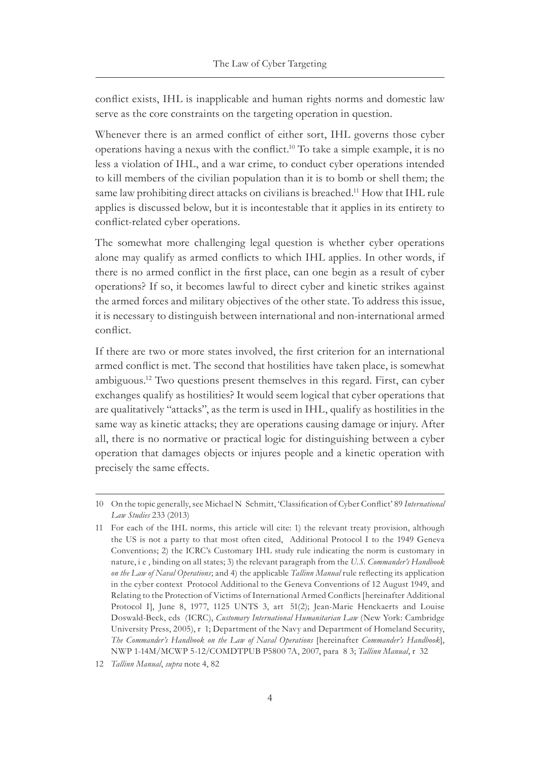conflict exists, IHL is inapplicable and human rights norms and domestic law serve as the core constraints on the targeting operation in question.

Whenever there is an armed conflict of either sort, IHL governs those cyber operations having a nexus with the conflict.10 To take a simple example, it is no less a violation of IHL, and a war crime, to conduct cyber operations intended to kill members of the civilian population than it is to bomb or shell them; the same law prohibiting direct attacks on civilians is breached.<sup>11</sup> How that IHL rule applies is discussed below, but it is incontestable that it applies in its entirety to conflict-related cyber operations.

The somewhat more challenging legal question is whether cyber operations alone may qualify as armed conflicts to which IHL applies. In other words, if there is no armed conflict in the first place, can one begin as a result of cyber operations? If so, it becomes lawful to direct cyber and kinetic strikes against the armed forces and military objectives of the other state. To address this issue, it is necessary to distinguish between international and non-international armed conflict.

If there are two or more states involved, the first criterion for an international armed conflict is met. The second that hostilities have taken place, is somewhat ambiguous.12 Two questions present themselves in this regard. First, can cyber exchanges qualify as hostilities? It would seem logical that cyber operations that are qualitatively "attacks", as the term is used in IHL, qualify as hostilities in the same way as kinetic attacks; they are operations causing damage or injury. After all, there is no normative or practical logic for distinguishing between a cyber operation that damages objects or injures people and a kinetic operation with precisely the same effects.

<sup>10</sup> On the topic generally, see Michael N Schmitt, 'Classification of Cyber Conflict' 89 *International Law Studies* 233 (2013)

<sup>11</sup> For each of the IHL norms, this article will cite: 1) the relevant treaty provision, although the US is not a party to that most often cited, Additional Protocol I to the 1949 Geneva Conventions; 2) the ICRC's Customary IHL study rule indicating the norm is customary in nature, i e , binding on all states; 3) the relevant paragraph from the *U.S. Commander's Handbook on the Law of Naval Operations*; and 4) the applicable *Tallinn Manual* rule reflecting its application in the cyber context Protocol Additional to the Geneva Conventions of 12 August 1949, and Relating to the Protection of Victims of International Armed Conflicts [hereinafter Additional Protocol I], June 8, 1977, 1125 UNTS 3, art 51(2); Jean-Marie Henckaerts and Louise Doswald-Beck, eds (ICRC), *Customary International Humanitarian Law* (New York: Cambridge University Press, 2005), r 1; Department of the Navy and Department of Homeland Security, *The Commander's Handbook on the Law of Naval Operations* [hereinafter *Commander's Handbook*], NWP 1-14M/MCWP 5-12/COMDTPUB P5800 7A, 2007, para 8 3; *Tallinn Manual*, r 32

<sup>12</sup> *Tallinn Manual*, *supra* note 4, 82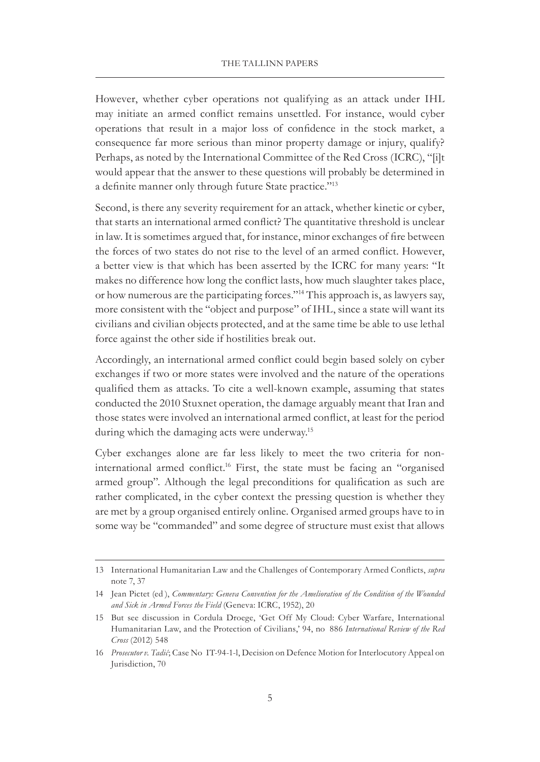However, whether cyber operations not qualifying as an attack under IHL may initiate an armed conflict remains unsettled. For instance, would cyber operations that result in a major loss of confidence in the stock market, a consequence far more serious than minor property damage or injury, qualify? Perhaps, as noted by the International Committee of the Red Cross (ICRC), "[i]t would appear that the answer to these questions will probably be determined in a definite manner only through future State practice."<sup>13</sup>

Second, is there any severity requirement for an attack, whether kinetic or cyber, that starts an international armed conflict? The quantitative threshold is unclear in law. It is sometimes argued that, for instance, minor exchanges of fire between the forces of two states do not rise to the level of an armed conflict. However, a better view is that which has been asserted by the ICRC for many years: "It makes no difference how long the conflict lasts, how much slaughter takes place, or how numerous are the participating forces."14 This approach is, as lawyers say, more consistent with the "object and purpose" of IHL, since a state will want its civilians and civilian objects protected, and at the same time be able to use lethal force against the other side if hostilities break out.

Accordingly, an international armed conflict could begin based solely on cyber exchanges if two or more states were involved and the nature of the operations qualified them as attacks. To cite a well-known example, assuming that states conducted the 2010 Stuxnet operation, the damage arguably meant that Iran and those states were involved an international armed conflict, at least for the period during which the damaging acts were underway.<sup>15</sup>

Cyber exchanges alone are far less likely to meet the two criteria for noninternational armed conflict.16 First, the state must be facing an "organised armed group". Although the legal preconditions for qualification as such are rather complicated, in the cyber context the pressing question is whether they are met by a group organised entirely online. Organised armed groups have to in some way be "commanded" and some degree of structure must exist that allows

<sup>13</sup> International Humanitarian Law and the Challenges of Contemporary Armed Conflicts, *supra*  note 7, 37

<sup>14</sup> Jean Pictet (ed ), *Commentary: Geneva Convention for the Amelioration of the Condition of the Wounded and Sick in Armed Forces the Field* (Geneva: ICRC, 1952), 20

<sup>15</sup> But see discussion in Cordula Droege, 'Get Off My Cloud: Cyber Warfare, International Humanitarian Law, and the Protection of Civilians,' 94, no 886 *International Review of the Red Cross* (2012) 548

<sup>16</sup> *Prosecutor v. Tadić*; Case No IT-94-1-l, Decision on Defence Motion for Interlocutory Appeal on Jurisdiction, 70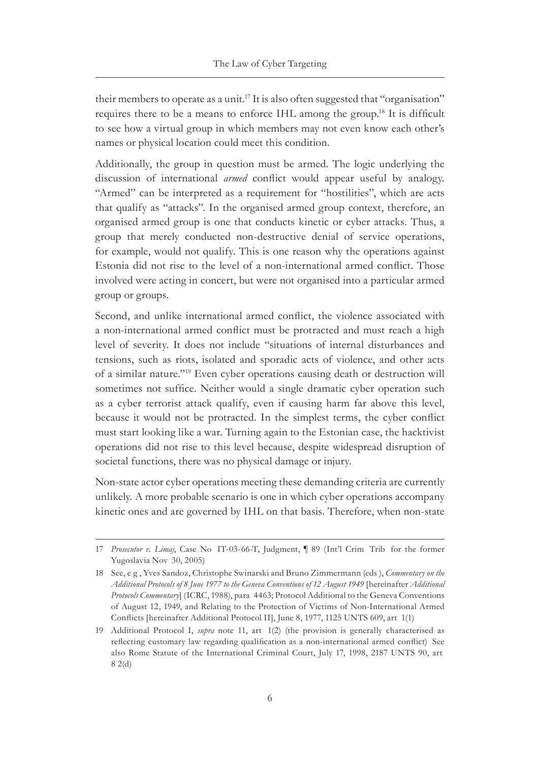their members to operate as a unit.<sup>17</sup> It is also often suggested that "organisation" requires there to be a means to enforce IHL among the group.18 It is difficult to see how a virtual group in which members may not even know each other's names or physical location could meet this condition.

Additionally, the group in question must be armed. The logic underlying the discussion of international *armed* conflict would appear useful by analogy. "Armed" can be interpreted as a requirement for "hostilities", which are acts that qualify as "attacks". In the organised armed group context, therefore, an organised armed group is one that conducts kinetic or cyber attacks. Thus, a group that merely conducted non-destructive denial of service operations, for example, would not qualify. This is one reason why the operations against Estonia did not rise to the level of a non-international armed conflict. Those involved were acting in concert, but were not organised into a particular armed group or groups.

Second, and unlike international armed conflict, the violence associated with a non-international armed conflict must be protracted and must reach a high level of severity. It does not include "situations of internal disturbances and tensions, such as riots, isolated and sporadic acts of violence, and other acts of a similar nature."19 Even cyber operations causing death or destruction will sometimes not suffice. Neither would a single dramatic cyber operation such as a cyber terrorist attack qualify, even if causing harm far above this level, because it would not be protracted. In the simplest terms, the cyber conflict must start looking like a war. Turning again to the Estonian case, the hacktivist operations did not rise to this level because, despite widespread disruption of societal functions, there was no physical damage or injury.

Non-state actor cyber operations meeting these demanding criteria are currently unlikely. A more probable scenario is one in which cyber operations accompany kinetic ones and are governed by IHL on that basis. Therefore, when non-state

<sup>17</sup> *Prosecutor v. Limaj*, Case No IT-03-66-T, Judgment, ¶ 89 (Int'l Crim Trib for the former Yugoslavia Nov 30, 2005)

<sup>18</sup> See, e g , Yves Sandoz, Christophe Swinarski and Bruno Zimmermann (eds ), *Commentary on the Additional Protocols of 8 June 1977 to the Geneva Conventions of 12 August 1949* [hereinafter *Additional Protocols Commentary*] (ICRC, 1988), para 4463; Protocol Additional to the Geneva Conventions of August 12, 1949, and Relating to the Protection of Victims of Non-International Armed Conflicts [hereinafter Additional Protocol II], June 8, 1977, 1125 UNTS 609, art 1(1)

<sup>19</sup> Additional Protocol I, *supra* note 11, art 1(2) (the provision is generally characterised as reflecting customary law regarding qualification as a non-international armed conflict) See also Rome Statute of the International Criminal Court, July 17, 1998, 2187 UNTS 90, art 8 2(d)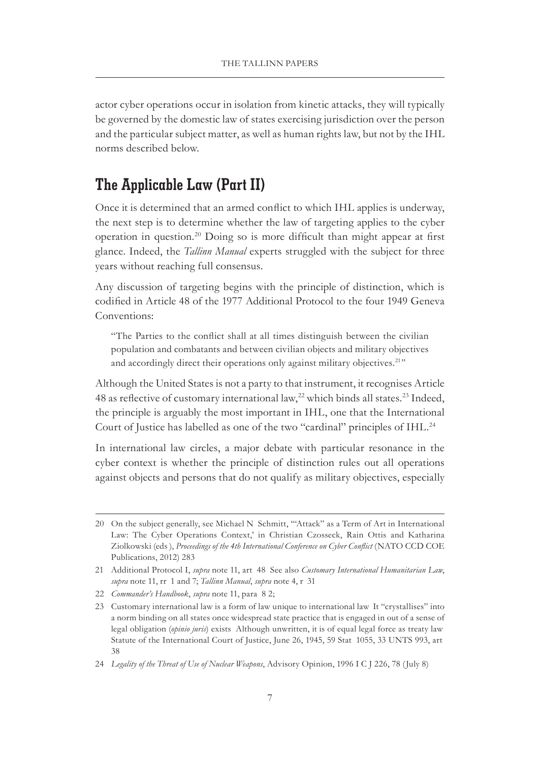actor cyber operations occur in isolation from kinetic attacks, they will typically be governed by the domestic law of states exercising jurisdiction over the person and the particular subject matter, as well as human rights law, but not by the IHL norms described below.

### **The Applicable Law (Part II)**

Once it is determined that an armed conflict to which IHL applies is underway, the next step is to determine whether the law of targeting applies to the cyber operation in question.20 Doing so is more difficult than might appear at first glance. Indeed, the *Tallinn Manual* experts struggled with the subject for three years without reaching full consensus.

Any discussion of targeting begins with the principle of distinction, which is codified in Article 48 of the 1977 Additional Protocol to the four 1949 Geneva Conventions:

"The Parties to the conflict shall at all times distinguish between the civilian population and combatants and between civilian objects and military objectives and accordingly direct their operations only against military objectives.<sup>21</sup>"

Although the United States is not a party to that instrument, it recognises Article 48 as reflective of customary international law,<sup>22</sup> which binds all states.<sup>23</sup> Indeed, the principle is arguably the most important in IHL, one that the International Court of Justice has labelled as one of the two "cardinal" principles of IHL.<sup>24</sup>

In international law circles, a major debate with particular resonance in the cyber context is whether the principle of distinction rules out all operations against objects and persons that do not qualify as military objectives, especially

<sup>20</sup> On the subject generally, see Michael N Schmitt, '"Attack" as a Term of Art in International Law: The Cyber Operations Context,' in Christian Czosseck, Rain Ottis and Katharina Ziolkowski (eds ), *Proceedings of the 4th International Conference on Cyber Conflict* (NATO CCD COE Publications, 2012) 283

<sup>21</sup> Additional Protocol I, *supra* note 11, art 48 See also *Customary International Humanitarian Law*, *supra* note 11, rr 1 and 7; *Tallinn Manual*, *supra* note 4, r 31

<sup>22</sup> *Commander's Handbook*, *supra* note 11, para 8 2;

<sup>23</sup> Customary international law is a form of law unique to international law It "crystallises" into a norm binding on all states once widespread state practice that is engaged in out of a sense of legal obligation (*opinio juris*) exists Although unwritten, it is of equal legal force as treaty law Statute of the International Court of Justice, June 26, 1945, 59 Stat 1055, 33 UNTS 993, art 38

<sup>24</sup> *Legality of the Threat of Use of Nuclear Weapons*, Advisory Opinion, 1996 I C J 226, 78 (July 8)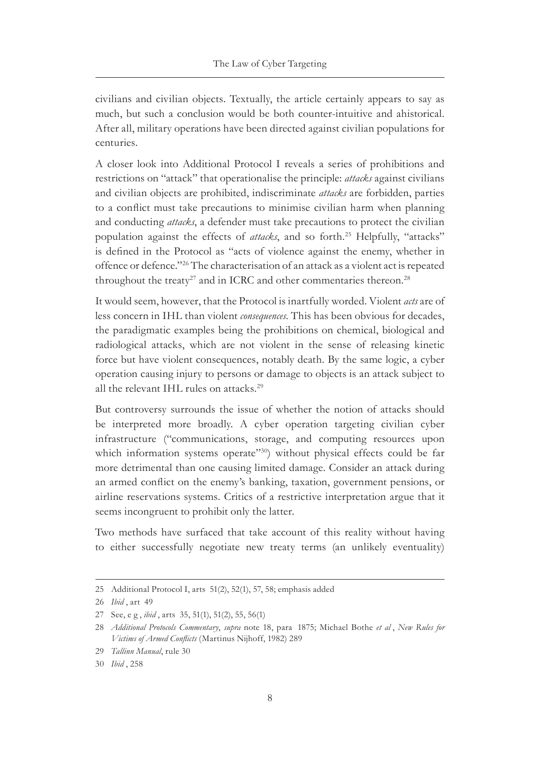civilians and civilian objects. Textually, the article certainly appears to say as much, but such a conclusion would be both counter-intuitive and ahistorical. After all, military operations have been directed against civilian populations for centuries.

A closer look into Additional Protocol I reveals a series of prohibitions and restrictions on "attack" that operationalise the principle: *attacks* against civilians and civilian objects are prohibited, indiscriminate *attacks* are forbidden, parties to a conflict must take precautions to minimise civilian harm when planning and conducting *attacks*, a defender must take precautions to protect the civilian population against the effects of *attacks*, and so forth.<sup>25</sup> Helpfully, "attacks" is defined in the Protocol as "acts of violence against the enemy, whether in offence or defence."26 The characterisation of an attack as a violent act is repeated throughout the treaty<sup>27</sup> and in ICRC and other commentaries thereon.<sup>28</sup>

It would seem, however, that the Protocol is inartfully worded. Violent *acts* are of less concern in IHL than violent *consequences*. This has been obvious for decades, the paradigmatic examples being the prohibitions on chemical, biological and radiological attacks, which are not violent in the sense of releasing kinetic force but have violent consequences, notably death. By the same logic, a cyber operation causing injury to persons or damage to objects is an attack subject to all the relevant IHL rules on attacks.<sup>29</sup>

But controversy surrounds the issue of whether the notion of attacks should be interpreted more broadly. A cyber operation targeting civilian cyber infrastructure ("communications, storage, and computing resources upon which information systems operate"<sup>30</sup>) without physical effects could be far more detrimental than one causing limited damage. Consider an attack during an armed conflict on the enemy's banking, taxation, government pensions, or airline reservations systems. Critics of a restrictive interpretation argue that it seems incongruent to prohibit only the latter.

Two methods have surfaced that take account of this reality without having to either successfully negotiate new treaty terms (an unlikely eventuality)

<sup>25</sup> Additional Protocol I, arts 51(2), 52(1), 57, 58; emphasis added

<sup>26</sup> *Ibid* , art 49

<sup>27</sup> See, e g , *ibid* , arts 35, 51(1), 51(2), 55, 56(1)

<sup>28</sup> *Additional Protocols Commentary*, *supra* note 18, para 1875; Michael Bothe *et al* , *New Rules for Victims of Armed Conflicts* (Martinus Nijhoff, 1982) 289

<sup>29</sup> *Tallinn Manual*, rule 30

<sup>30</sup> *Ibid* , 258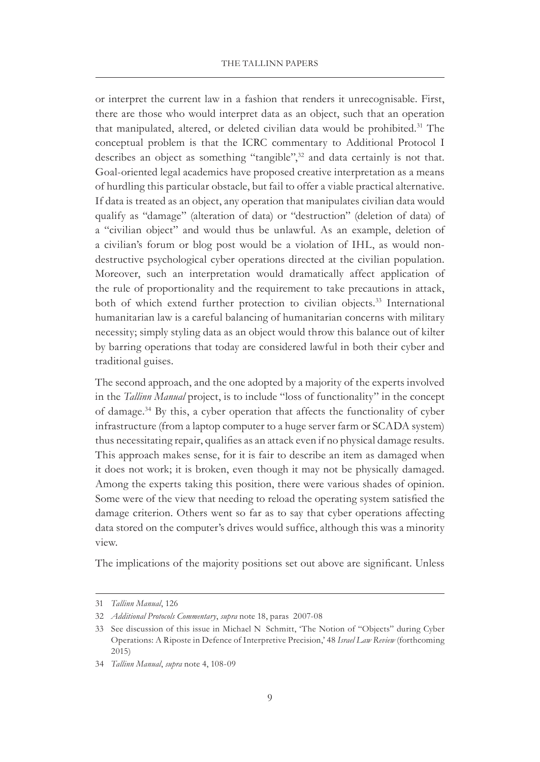or interpret the current law in a fashion that renders it unrecognisable. First, there are those who would interpret data as an object, such that an operation that manipulated, altered, or deleted civilian data would be prohibited.<sup>31</sup> The conceptual problem is that the ICRC commentary to Additional Protocol I describes an object as something "tangible",<sup>32</sup> and data certainly is not that. Goal-oriented legal academics have proposed creative interpretation as a means of hurdling this particular obstacle, but fail to offer a viable practical alternative. If data is treated as an object, any operation that manipulates civilian data would qualify as "damage" (alteration of data) or "destruction" (deletion of data) of a "civilian object" and would thus be unlawful. As an example, deletion of a civilian's forum or blog post would be a violation of IHL, as would nondestructive psychological cyber operations directed at the civilian population. Moreover, such an interpretation would dramatically affect application of the rule of proportionality and the requirement to take precautions in attack, both of which extend further protection to civilian objects.<sup>33</sup> International humanitarian law is a careful balancing of humanitarian concerns with military necessity; simply styling data as an object would throw this balance out of kilter by barring operations that today are considered lawful in both their cyber and traditional guises.

The second approach, and the one adopted by a majority of the experts involved in the *Tallinn Manual* project, is to include "loss of functionality" in the concept of damage.34 By this, a cyber operation that affects the functionality of cyber infrastructure (from a laptop computer to a huge server farm or SCADA system) thus necessitating repair, qualifies as an attack even if no physical damage results. This approach makes sense, for it is fair to describe an item as damaged when it does not work; it is broken, even though it may not be physically damaged. Among the experts taking this position, there were various shades of opinion. Some were of the view that needing to reload the operating system satisfied the damage criterion. Others went so far as to say that cyber operations affecting data stored on the computer's drives would suffice, although this was a minority view.

The implications of the majority positions set out above are significant. Unless

<sup>31</sup> *Tallinn Manual*, 126

<sup>32</sup> *Additional Protocols Commentary*, *supra* note 18, paras 2007-08

<sup>33</sup> See discussion of this issue in Michael N Schmitt, 'The Notion of "Objects" during Cyber Operations: A Riposte in Defence of Interpretive Precision,' 48 *Israel Law Review* (forthcoming 2015)

<sup>34</sup> *Tallinn Manual*, *supra* note 4, 108-09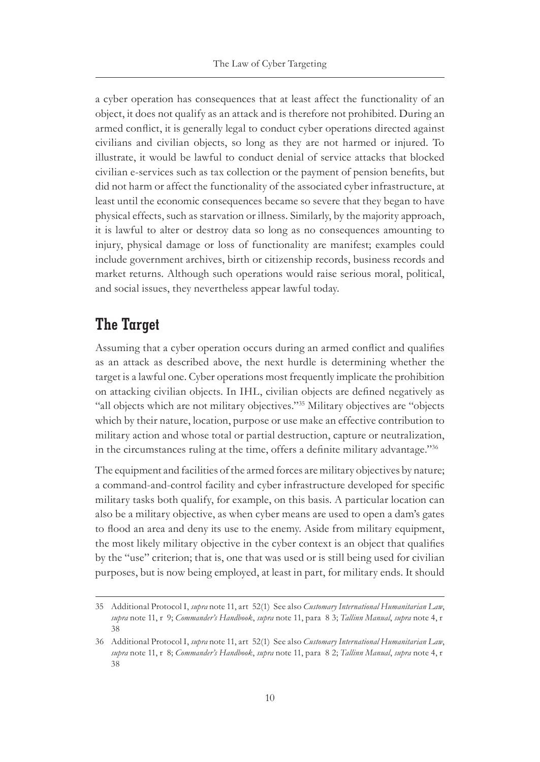a cyber operation has consequences that at least affect the functionality of an object, it does not qualify as an attack and is therefore not prohibited. During an armed conflict, it is generally legal to conduct cyber operations directed against civilians and civilian objects, so long as they are not harmed or injured. To illustrate, it would be lawful to conduct denial of service attacks that blocked civilian e-services such as tax collection or the payment of pension benefits, but did not harm or affect the functionality of the associated cyber infrastructure, at least until the economic consequences became so severe that they began to have physical effects, such as starvation or illness. Similarly, by the majority approach, it is lawful to alter or destroy data so long as no consequences amounting to injury, physical damage or loss of functionality are manifest; examples could include government archives, birth or citizenship records, business records and market returns. Although such operations would raise serious moral, political, and social issues, they nevertheless appear lawful today.

### **The Target**

Assuming that a cyber operation occurs during an armed conflict and qualifies as an attack as described above, the next hurdle is determining whether the target is a lawful one. Cyber operations most frequently implicate the prohibition on attacking civilian objects. In IHL, civilian objects are defined negatively as "all objects which are not military objectives."35 Military objectives are "objects which by their nature, location, purpose or use make an effective contribution to military action and whose total or partial destruction, capture or neutralization, in the circumstances ruling at the time, offers a definite military advantage."<sup>36</sup>

The equipment and facilities of the armed forces are military objectives by nature; a command-and-control facility and cyber infrastructure developed for specific military tasks both qualify, for example, on this basis. A particular location can also be a military objective, as when cyber means are used to open a dam's gates to flood an area and deny its use to the enemy. Aside from military equipment, the most likely military objective in the cyber context is an object that qualifies by the "use" criterion; that is, one that was used or is still being used for civilian purposes, but is now being employed, at least in part, for military ends. It should

<sup>35</sup> Additional Protocol I, *supra* note 11, art 52(1) See also *Customary International Humanitarian Law*, *supra* note 11, r 9; *Commander's Handbook*, *supra* note 11, para 8 3; *Tallinn Manual*, *supra* note 4, r 38

<sup>36</sup> Additional Protocol I, *supra* note 11, art 52(1) See also *Customary International Humanitarian Law*, *supra* note 11, r 8; *Commander's Handbook*, *supra* note 11, para 8 2; *Tallinn Manual*, *supra* note 4, r 38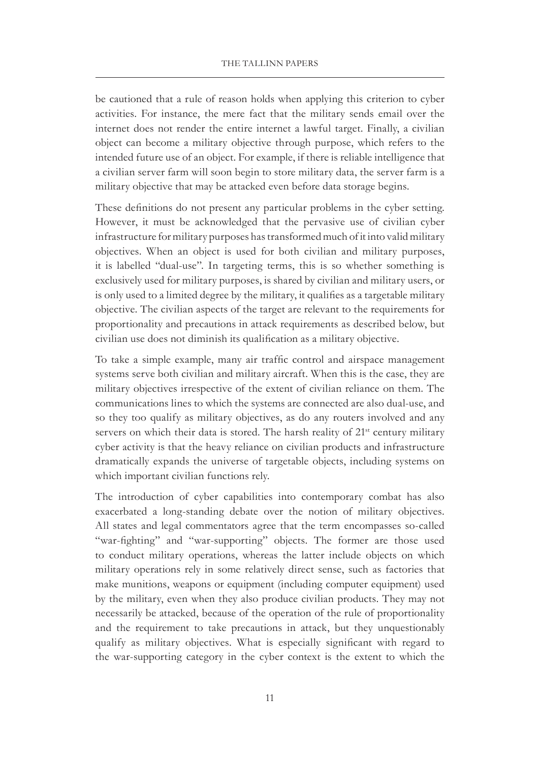be cautioned that a rule of reason holds when applying this criterion to cyber activities. For instance, the mere fact that the military sends email over the internet does not render the entire internet a lawful target. Finally, a civilian object can become a military objective through purpose, which refers to the intended future use of an object. For example, if there is reliable intelligence that a civilian server farm will soon begin to store military data, the server farm is a military objective that may be attacked even before data storage begins.

These definitions do not present any particular problems in the cyber setting. However, it must be acknowledged that the pervasive use of civilian cyber infrastructure for military purposes has transformed much of it into valid military objectives. When an object is used for both civilian and military purposes, it is labelled "dual-use". In targeting terms, this is so whether something is exclusively used for military purposes, is shared by civilian and military users, or is only used to a limited degree by the military, it qualifies as a targetable military objective. The civilian aspects of the target are relevant to the requirements for proportionality and precautions in attack requirements as described below, but civilian use does not diminish its qualification as a military objective.

To take a simple example, many air traffic control and airspace management systems serve both civilian and military aircraft. When this is the case, they are military objectives irrespective of the extent of civilian reliance on them. The communications lines to which the systems are connected are also dual-use, and so they too qualify as military objectives, as do any routers involved and any servers on which their data is stored. The harsh reality of  $21<sup>st</sup>$  century military cyber activity is that the heavy reliance on civilian products and infrastructure dramatically expands the universe of targetable objects, including systems on which important civilian functions rely.

The introduction of cyber capabilities into contemporary combat has also exacerbated a long-standing debate over the notion of military objectives. All states and legal commentators agree that the term encompasses so-called "war-fighting" and "war-supporting" objects. The former are those used to conduct military operations, whereas the latter include objects on which military operations rely in some relatively direct sense, such as factories that make munitions, weapons or equipment (including computer equipment) used by the military, even when they also produce civilian products. They may not necessarily be attacked, because of the operation of the rule of proportionality and the requirement to take precautions in attack, but they unquestionably qualify as military objectives. What is especially significant with regard to the war-supporting category in the cyber context is the extent to which the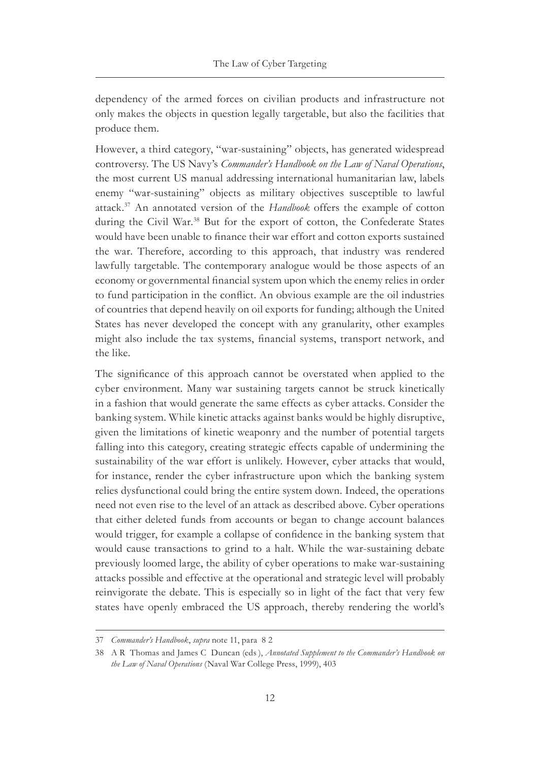dependency of the armed forces on civilian products and infrastructure not only makes the objects in question legally targetable, but also the facilities that produce them.

However, a third category, "war-sustaining" objects, has generated widespread controversy. The US Navy's *Commander's Handbook on the Law of Naval Operations*, the most current US manual addressing international humanitarian law, labels enemy "war-sustaining" objects as military objectives susceptible to lawful attack.37 An annotated version of the *Handbook* offers the example of cotton during the Civil War.<sup>38</sup> But for the export of cotton, the Confederate States would have been unable to finance their war effort and cotton exports sustained the war. Therefore, according to this approach, that industry was rendered lawfully targetable. The contemporary analogue would be those aspects of an economy or governmental financial system upon which the enemy relies in order to fund participation in the conflict. An obvious example are the oil industries of countries that depend heavily on oil exports for funding; although the United States has never developed the concept with any granularity, other examples might also include the tax systems, financial systems, transport network, and the like.

The significance of this approach cannot be overstated when applied to the cyber environment. Many war sustaining targets cannot be struck kinetically in a fashion that would generate the same effects as cyber attacks. Consider the banking system. While kinetic attacks against banks would be highly disruptive, given the limitations of kinetic weaponry and the number of potential targets falling into this category, creating strategic effects capable of undermining the sustainability of the war effort is unlikely. However, cyber attacks that would, for instance, render the cyber infrastructure upon which the banking system relies dysfunctional could bring the entire system down. Indeed, the operations need not even rise to the level of an attack as described above. Cyber operations that either deleted funds from accounts or began to change account balances would trigger, for example a collapse of confidence in the banking system that would cause transactions to grind to a halt. While the war-sustaining debate previously loomed large, the ability of cyber operations to make war-sustaining attacks possible and effective at the operational and strategic level will probably reinvigorate the debate. This is especially so in light of the fact that very few states have openly embraced the US approach, thereby rendering the world's

<sup>37</sup> *Commander's Handbook*, *supra* note 11, para 8 2

<sup>38</sup> A R Thomas and James C Duncan (eds ), *Annotated Supplement to the Commander's Handbook on the Law of Naval Operations* (Naval War College Press, 1999), 403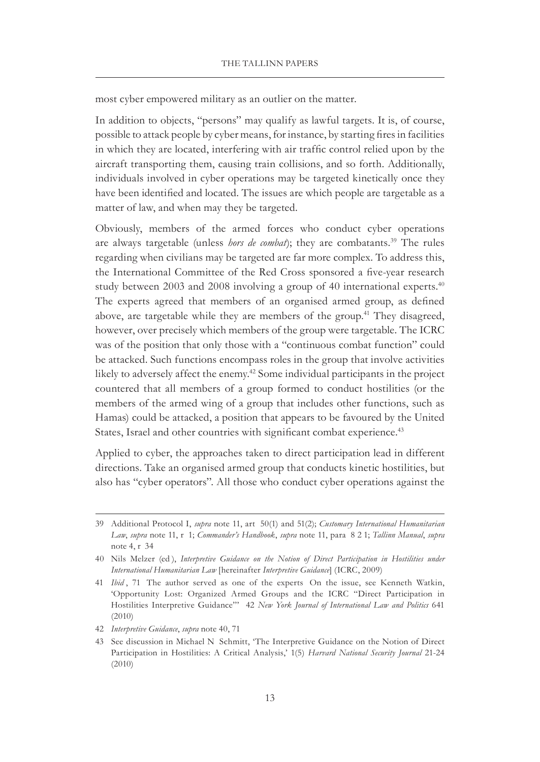most cyber empowered military as an outlier on the matter.

In addition to objects, "persons" may qualify as lawful targets. It is, of course, possible to attack people by cyber means, for instance, by starting fires in facilities in which they are located, interfering with air traffic control relied upon by the aircraft transporting them, causing train collisions, and so forth. Additionally, individuals involved in cyber operations may be targeted kinetically once they have been identified and located. The issues are which people are targetable as a matter of law, and when may they be targeted.

Obviously, members of the armed forces who conduct cyber operations are always targetable (unless *hors de combat*); they are combatants.<sup>39</sup> The rules regarding when civilians may be targeted are far more complex. To address this, the International Committee of the Red Cross sponsored a five-year research study between 2003 and 2008 involving a group of 40 international experts.<sup>40</sup> The experts agreed that members of an organised armed group, as defined above, are targetable while they are members of the group.<sup>41</sup> They disagreed, however, over precisely which members of the group were targetable. The ICRC was of the position that only those with a "continuous combat function" could be attacked. Such functions encompass roles in the group that involve activities likely to adversely affect the enemy.<sup>42</sup> Some individual participants in the project countered that all members of a group formed to conduct hostilities (or the members of the armed wing of a group that includes other functions, such as Hamas) could be attacked, a position that appears to be favoured by the United States, Israel and other countries with significant combat experience.<sup>43</sup>

Applied to cyber, the approaches taken to direct participation lead in different directions. Take an organised armed group that conducts kinetic hostilities, but also has "cyber operators". All those who conduct cyber operations against the

<sup>39</sup> Additional Protocol I, *supra* note 11, art 50(1) and 51(2); *Customary International Humanitarian Law*, *supra* note 11, r 1; *Commander's Handbook*, *supra* note 11, para 8 2 1; *Tallinn Manual*, *supra*  note 4, r 34

<sup>40</sup> Nils Melzer (ed ), *Interpretive Guidance on the Notion of Direct Participation in Hostilities under International Humanitarian Law* [hereinafter *Interpretive Guidance*] (ICRC, 2009)

<sup>41</sup> *Ibid* , 71 The author served as one of the experts On the issue, see Kenneth Watkin, 'Opportunity Lost: Organized Armed Groups and the ICRC "Direct Participation in Hostilities Interpretive Guidance"' 42 *New York Journal of International Law and Politics* 641 (2010)

<sup>42</sup> *Interpretive Guidance*, *supra* note 40, 71

<sup>43</sup> See discussion in Michael N Schmitt, 'The Interpretive Guidance on the Notion of Direct Participation in Hostilities: A Critical Analysis,' 1(5) *Harvard National Security Journal* 21-24 (2010)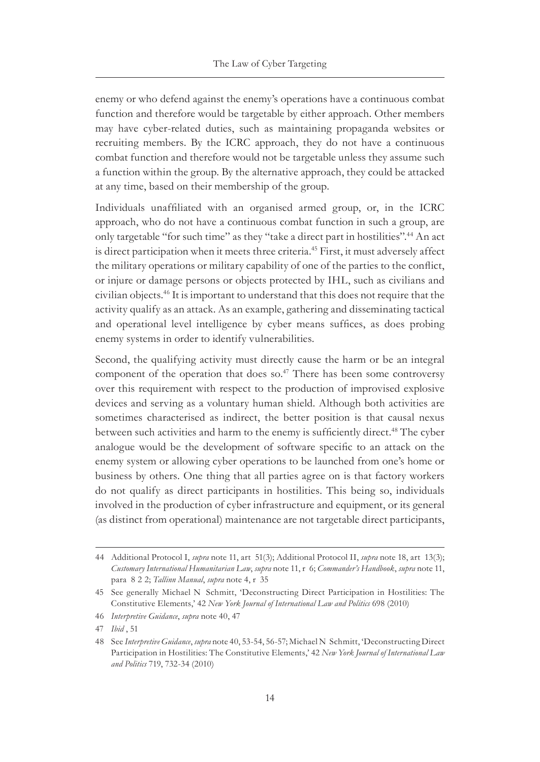enemy or who defend against the enemy's operations have a continuous combat function and therefore would be targetable by either approach. Other members may have cyber-related duties, such as maintaining propaganda websites or recruiting members. By the ICRC approach, they do not have a continuous combat function and therefore would not be targetable unless they assume such a function within the group. By the alternative approach, they could be attacked at any time, based on their membership of the group.

Individuals unaffiliated with an organised armed group, or, in the ICRC approach, who do not have a continuous combat function in such a group, are only targetable "for such time" as they "take a direct part in hostilities".44 An act is direct participation when it meets three criteria.<sup>45</sup> First, it must adversely affect the military operations or military capability of one of the parties to the conflict, or injure or damage persons or objects protected by IHL, such as civilians and civilian objects.46 It is important to understand that this does not require that the activity qualify as an attack. As an example, gathering and disseminating tactical and operational level intelligence by cyber means suffices, as does probing enemy systems in order to identify vulnerabilities.

Second, the qualifying activity must directly cause the harm or be an integral component of the operation that does so. $47$  There has been some controversy over this requirement with respect to the production of improvised explosive devices and serving as a voluntary human shield. Although both activities are sometimes characterised as indirect, the better position is that causal nexus between such activities and harm to the enemy is sufficiently direct.<sup>48</sup> The cyber analogue would be the development of software specific to an attack on the enemy system or allowing cyber operations to be launched from one's home or business by others. One thing that all parties agree on is that factory workers do not qualify as direct participants in hostilities. This being so, individuals involved in the production of cyber infrastructure and equipment, or its general (as distinct from operational) maintenance are not targetable direct participants,

<sup>44</sup> Additional Protocol I, *supra* note 11, art 51(3); Additional Protocol II, *supra* note 18, art 13(3); *Customary International Humanitarian Law*, *supra* note 11, r 6; *Commander's Handbook*, *supra* note 11, para 8 2 2; *Tallinn Manual*, *supra* note 4, r 35

<sup>45</sup> See generally Michael N Schmitt, 'Deconstructing Direct Participation in Hostilities: The Constitutive Elements,' 42 *New York Journal of International Law and Politics* 698 (2010)

<sup>46</sup> *Interpretive Guidance*, *supra* note 40, 47

<sup>47</sup> *Ibid* , 51

<sup>48</sup> See *Interpretive Guidance*, *supra* note 40, 53-54, 56-57; Michael N Schmitt, 'Deconstructing Direct Participation in Hostilities: The Constitutive Elements,' 42 *New York Journal of International Law and Politics* 719, 732-34 (2010)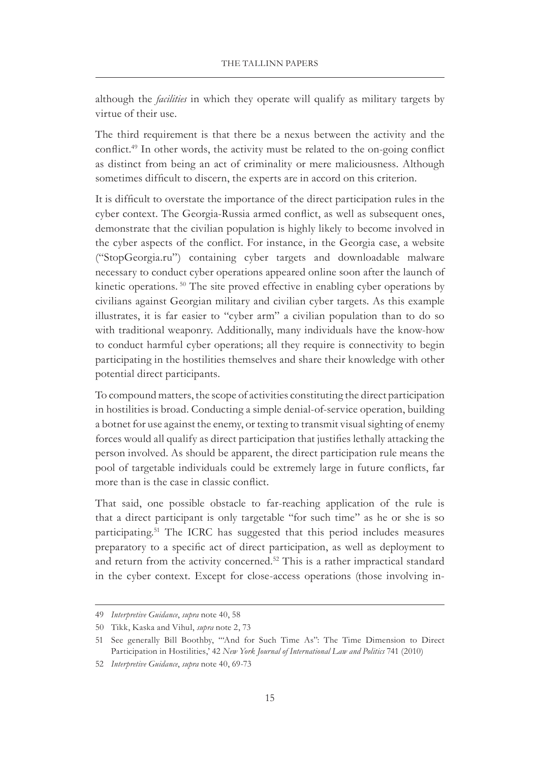although the *facilities* in which they operate will qualify as military targets by virtue of their use.

The third requirement is that there be a nexus between the activity and the conflict.<sup>49</sup> In other words, the activity must be related to the on-going conflict as distinct from being an act of criminality or mere maliciousness. Although sometimes difficult to discern, the experts are in accord on this criterion.

It is difficult to overstate the importance of the direct participation rules in the cyber context. The Georgia-Russia armed conflict, as well as subsequent ones, demonstrate that the civilian population is highly likely to become involved in the cyber aspects of the conflict. For instance, in the Georgia case, a website ("StopGeorgia.ru") containing cyber targets and downloadable malware necessary to conduct cyber operations appeared online soon after the launch of kinetic operations.<sup>50</sup> The site proved effective in enabling cyber operations by civilians against Georgian military and civilian cyber targets. As this example illustrates, it is far easier to "cyber arm" a civilian population than to do so with traditional weaponry. Additionally, many individuals have the know-how to conduct harmful cyber operations; all they require is connectivity to begin participating in the hostilities themselves and share their knowledge with other potential direct participants.

To compound matters, the scope of activities constituting the direct participation in hostilities is broad. Conducting a simple denial-of-service operation, building a botnet for use against the enemy, or texting to transmit visual sighting of enemy forces would all qualify as direct participation that justifies lethally attacking the person involved. As should be apparent, the direct participation rule means the pool of targetable individuals could be extremely large in future conflicts, far more than is the case in classic conflict.

That said, one possible obstacle to far-reaching application of the rule is that a direct participant is only targetable "for such time" as he or she is so participating.51 The ICRC has suggested that this period includes measures preparatory to a specific act of direct participation, as well as deployment to and return from the activity concerned.<sup>52</sup> This is a rather impractical standard in the cyber context. Except for close-access operations (those involving in-

<sup>49</sup> *Interpretive Guidance*, *supra* note 40, 58

<sup>50</sup> Tikk, Kaska and Vihul, *supra* note 2, 73

<sup>51</sup> See generally Bill Boothby, '"And for Such Time As": The Time Dimension to Direct Participation in Hostilities,' 42 *New York Journal of International Law and Politics* 741 (2010)

<sup>52</sup> *Interpretive Guidance*, *supra* note 40, 69-73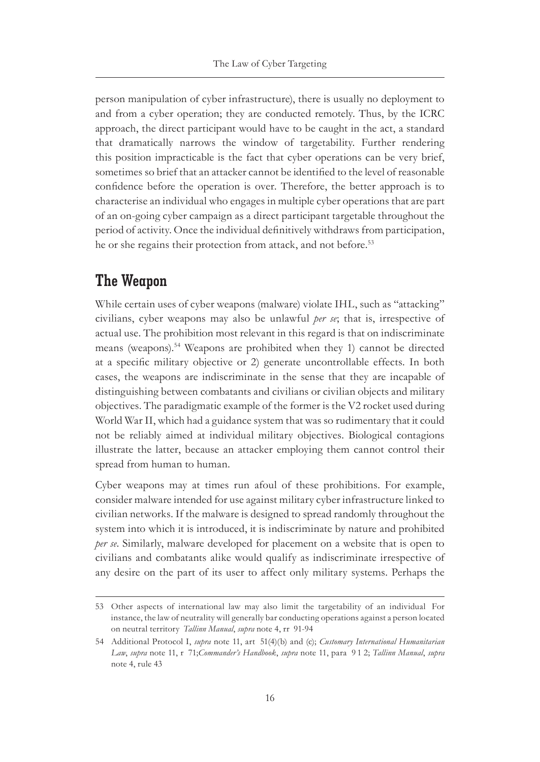person manipulation of cyber infrastructure), there is usually no deployment to and from a cyber operation; they are conducted remotely. Thus, by the ICRC approach, the direct participant would have to be caught in the act, a standard that dramatically narrows the window of targetability. Further rendering this position impracticable is the fact that cyber operations can be very brief, sometimes so brief that an attacker cannot be identified to the level of reasonable confidence before the operation is over. Therefore, the better approach is to characterise an individual who engages in multiple cyber operations that are part of an on-going cyber campaign as a direct participant targetable throughout the period of activity. Once the individual definitively withdraws from participation, he or she regains their protection from attack, and not before.<sup>53</sup>

### **The Weapon**

While certain uses of cyber weapons (malware) violate IHL, such as "attacking" civilians, cyber weapons may also be unlawful *per se*; that is, irrespective of actual use. The prohibition most relevant in this regard is that on indiscriminate means (weapons).54 Weapons are prohibited when they 1) cannot be directed at a specific military objective or 2) generate uncontrollable effects. In both cases, the weapons are indiscriminate in the sense that they are incapable of distinguishing between combatants and civilians or civilian objects and military objectives. The paradigmatic example of the former is the V2 rocket used during World War II, which had a guidance system that was so rudimentary that it could not be reliably aimed at individual military objectives. Biological contagions illustrate the latter, because an attacker employing them cannot control their spread from human to human.

Cyber weapons may at times run afoul of these prohibitions. For example, consider malware intended for use against military cyber infrastructure linked to civilian networks. If the malware is designed to spread randomly throughout the system into which it is introduced, it is indiscriminate by nature and prohibited *per se*. Similarly, malware developed for placement on a website that is open to civilians and combatants alike would qualify as indiscriminate irrespective of any desire on the part of its user to affect only military systems. Perhaps the

<sup>53</sup> Other aspects of international law may also limit the targetability of an individual For instance, the law of neutrality will generally bar conducting operations against a person located on neutral territory *Tallinn Manual*, *supra* note 4, rr 91-94

<sup>54</sup> Additional Protocol I, *supra* note 11, art 51(4)(b) and (c); *Customary International Humanitarian Law*, *supra* note 11, r 71;*Commander's Handbook*, *supra* note 11, para 9 1 2; *Tallinn Manual*, *supra*  note 4, rule 43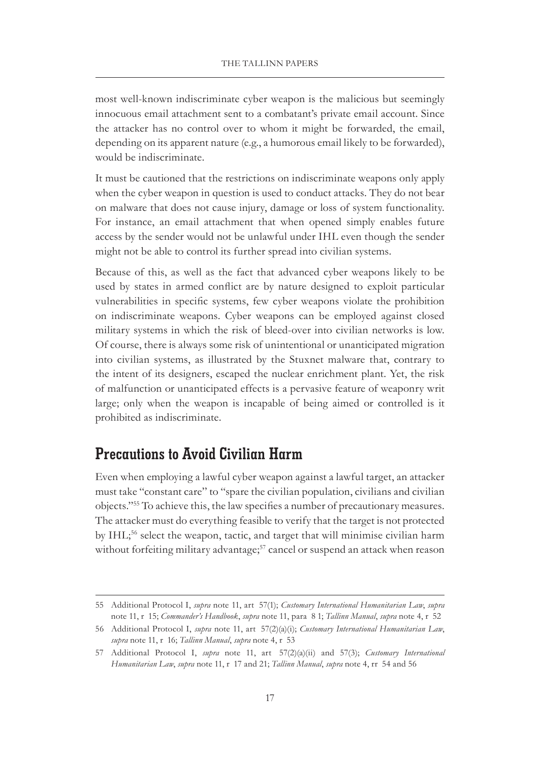most well-known indiscriminate cyber weapon is the malicious but seemingly innocuous email attachment sent to a combatant's private email account. Since the attacker has no control over to whom it might be forwarded, the email, depending on its apparent nature (e.g., a humorous email likely to be forwarded), would be indiscriminate.

It must be cautioned that the restrictions on indiscriminate weapons only apply when the cyber weapon in question is used to conduct attacks. They do not bear on malware that does not cause injury, damage or loss of system functionality. For instance, an email attachment that when opened simply enables future access by the sender would not be unlawful under IHL even though the sender might not be able to control its further spread into civilian systems.

Because of this, as well as the fact that advanced cyber weapons likely to be used by states in armed conflict are by nature designed to exploit particular vulnerabilities in specific systems, few cyber weapons violate the prohibition on indiscriminate weapons. Cyber weapons can be employed against closed military systems in which the risk of bleed-over into civilian networks is low. Of course, there is always some risk of unintentional or unanticipated migration into civilian systems, as illustrated by the Stuxnet malware that, contrary to the intent of its designers, escaped the nuclear enrichment plant. Yet, the risk of malfunction or unanticipated effects is a pervasive feature of weaponry writ large; only when the weapon is incapable of being aimed or controlled is it prohibited as indiscriminate.

### **Precautions to Avoid Civilian Harm**

Even when employing a lawful cyber weapon against a lawful target, an attacker must take "constant care" to "spare the civilian population, civilians and civilian objects."55 To achieve this, the law specifies a number of precautionary measures. The attacker must do everything feasible to verify that the target is not protected by IHL;56 select the weapon, tactic, and target that will minimise civilian harm without forfeiting military advantage;<sup>57</sup> cancel or suspend an attack when reason

<sup>55</sup> Additional Protocol I, *supra* note 11, art 57(1); *Customary International Humanitarian Law*, *supra*  note 11, r 15; *Commander's Handbook*, *supra* note 11, para 8 1; *Tallinn Manual*, *supra* note 4, r 52

<sup>56</sup> Additional Protocol I, *supra* note 11, art 57(2)(a)(i); *Customary International Humanitarian Law*, *supra* note 11, r 16; *Tallinn Manual*, *supra* note 4, r 53

<sup>57</sup> Additional Protocol I, *supra* note 11, art 57(2)(a)(ii) and 57(3); *Customary International Humanitarian Law*, *supra* note 11, r 17 and 21; *Tallinn Manual*, *supra* note 4, rr 54 and 56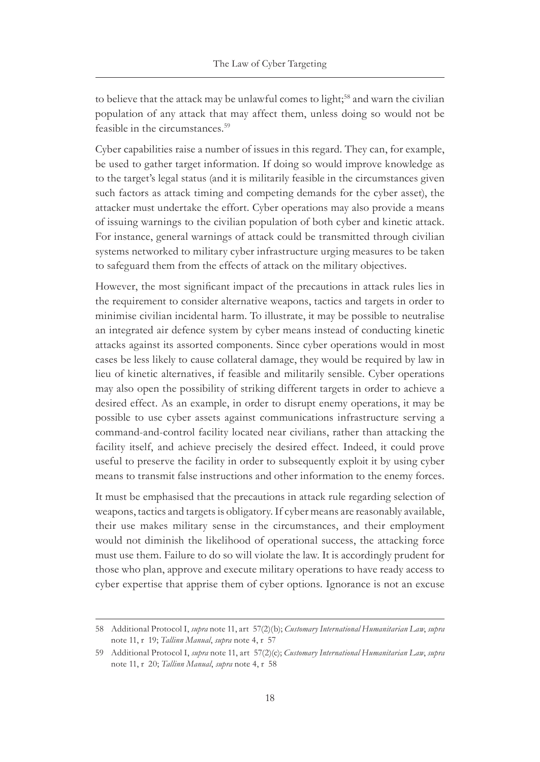to believe that the attack may be unlawful comes to light;<sup>58</sup> and warn the civilian population of any attack that may affect them, unless doing so would not be feasible in the circumstances.59

Cyber capabilities raise a number of issues in this regard. They can, for example, be used to gather target information. If doing so would improve knowledge as to the target's legal status (and it is militarily feasible in the circumstances given such factors as attack timing and competing demands for the cyber asset), the attacker must undertake the effort. Cyber operations may also provide a means of issuing warnings to the civilian population of both cyber and kinetic attack. For instance, general warnings of attack could be transmitted through civilian systems networked to military cyber infrastructure urging measures to be taken to safeguard them from the effects of attack on the military objectives.

However, the most significant impact of the precautions in attack rules lies in the requirement to consider alternative weapons, tactics and targets in order to minimise civilian incidental harm. To illustrate, it may be possible to neutralise an integrated air defence system by cyber means instead of conducting kinetic attacks against its assorted components. Since cyber operations would in most cases be less likely to cause collateral damage, they would be required by law in lieu of kinetic alternatives, if feasible and militarily sensible. Cyber operations may also open the possibility of striking different targets in order to achieve a desired effect. As an example, in order to disrupt enemy operations, it may be possible to use cyber assets against communications infrastructure serving a command-and-control facility located near civilians, rather than attacking the facility itself, and achieve precisely the desired effect. Indeed, it could prove useful to preserve the facility in order to subsequently exploit it by using cyber means to transmit false instructions and other information to the enemy forces.

It must be emphasised that the precautions in attack rule regarding selection of weapons, tactics and targets is obligatory. If cyber means are reasonably available, their use makes military sense in the circumstances, and their employment would not diminish the likelihood of operational success, the attacking force must use them. Failure to do so will violate the law. It is accordingly prudent for those who plan, approve and execute military operations to have ready access to cyber expertise that apprise them of cyber options. Ignorance is not an excuse

<sup>58</sup> Additional Protocol I, *supra* note 11, art 57(2)(b); *Customary International Humanitarian Law*, *supra*  note 11, r 19; *Tallinn Manual*, *supra* note 4, r 57

<sup>59</sup> Additional Protocol I, *supra* note 11, art 57(2)(c); *Customary International Humanitarian Law*, *supra*  note 11, r 20; *Tallinn Manual*, *supra* note 4, r 58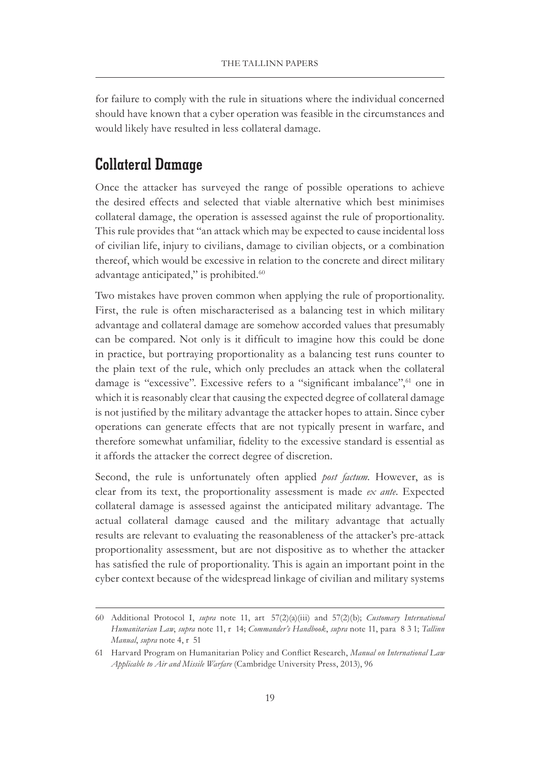for failure to comply with the rule in situations where the individual concerned should have known that a cyber operation was feasible in the circumstances and would likely have resulted in less collateral damage.

### **Collateral Damage**

Once the attacker has surveyed the range of possible operations to achieve the desired effects and selected that viable alternative which best minimises collateral damage, the operation is assessed against the rule of proportionality. This rule provides that "an attack which may be expected to cause incidental loss of civilian life, injury to civilians, damage to civilian objects, or a combination thereof, which would be excessive in relation to the concrete and direct military advantage anticipated," is prohibited.<sup>60</sup>

Two mistakes have proven common when applying the rule of proportionality. First, the rule is often mischaracterised as a balancing test in which military advantage and collateral damage are somehow accorded values that presumably can be compared. Not only is it difficult to imagine how this could be done in practice, but portraying proportionality as a balancing test runs counter to the plain text of the rule, which only precludes an attack when the collateral damage is "excessive". Excessive refers to a "significant imbalance", <sup>61</sup> one in which it is reasonably clear that causing the expected degree of collateral damage is not justified by the military advantage the attacker hopes to attain. Since cyber operations can generate effects that are not typically present in warfare, and therefore somewhat unfamiliar, fidelity to the excessive standard is essential as it affords the attacker the correct degree of discretion.

Second, the rule is unfortunately often applied *post factum*. However, as is clear from its text, the proportionality assessment is made *ex ante*. Expected collateral damage is assessed against the anticipated military advantage. The actual collateral damage caused and the military advantage that actually results are relevant to evaluating the reasonableness of the attacker's pre-attack proportionality assessment, but are not dispositive as to whether the attacker has satisfied the rule of proportionality. This is again an important point in the cyber context because of the widespread linkage of civilian and military systems

<sup>60</sup> Additional Protocol I, *supra* note 11, art 57(2)(a)(iii) and 57(2)(b); *Customary International Humanitarian Law*, *supra* note 11, r 14; *Commander's Handbook*, *supra* note 11, para 8 3 1; *Tallinn Manual*, *supra* note 4, r 51

<sup>61</sup> Harvard Program on Humanitarian Policy and Conflict Research, *Manual on International Law Applicable to Air and Missile Warfare* (Cambridge University Press, 2013), 96